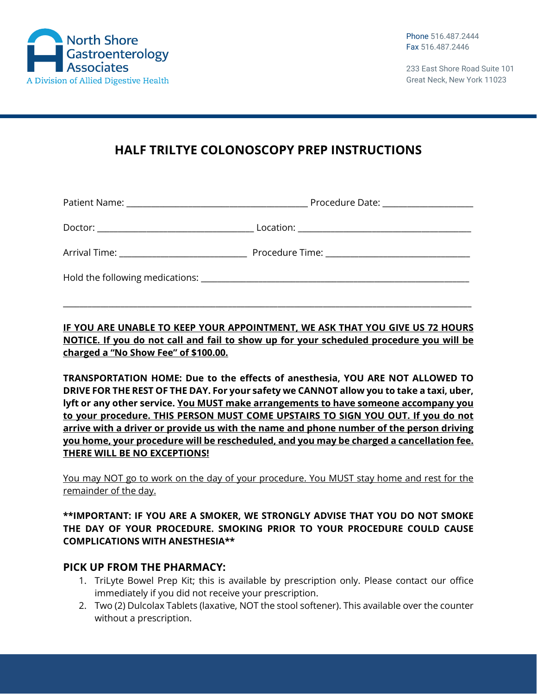

233 East Shore Road Suite 101 Great Neck, New York 11023

# **HALF TRILTYE COLONOSCOPY PREP INSTRUCTIONS**

|                                               | Procedure Date: _____________________ |
|-----------------------------------------------|---------------------------------------|
|                                               |                                       |
| Arrival Time: _______________________________ |                                       |
|                                               |                                       |

**IF YOU ARE UNABLE TO KEEP YOUR APPOINTMENT, WE ASK THAT YOU GIVE US 72 HOURS NOTICE. If you do not call and fail to show up for your scheduled procedure you will be charged a "No Show Fee" of \$100.00.**

\_\_\_\_\_\_\_\_\_\_\_\_\_\_\_\_\_\_\_\_\_\_\_\_\_\_\_\_\_\_\_\_\_\_\_\_\_\_\_\_\_\_\_\_\_\_\_\_\_\_\_\_\_\_\_\_\_\_\_\_\_\_\_\_\_\_\_\_\_\_\_\_\_\_\_\_\_\_\_\_\_\_\_\_\_\_\_\_\_\_\_\_\_\_\_\_\_\_\_

**TRANSPORTATION HOME: Due to the effects of anesthesia, YOU ARE NOT ALLOWED TO DRIVE FOR THE REST OF THE DAY. For your safety we CANNOT allow you to take a taxi, uber, lyft or any other service. You MUST make arrangements to have someone accompany you to your procedure. THIS PERSON MUST COME UPSTAIRS TO SIGN YOU OUT. If you do not arrive with a driver or provide us with the name and phone number of the person driving you home, your procedure will be rescheduled, and you may be charged a cancellation fee. THERE WILL BE NO EXCEPTIONS!**

You may NOT go to work on the day of your procedure. You MUST stay home and rest for the remainder of the day.

#### **\*\*IMPORTANT: IF YOU ARE A SMOKER, WE STRONGLY ADVISE THAT YOU DO NOT SMOKE THE DAY OF YOUR PROCEDURE. SMOKING PRIOR TO YOUR PROCEDURE COULD CAUSE COMPLICATIONS WITH ANESTHESIA\*\***

### **PICK UP FROM THE PHARMACY:**

- 1. TriLyte Bowel Prep Kit; this is available by prescription only. Please contact our office immediately if you did not receive your prescription.
- 2. Two (2) Dulcolax Tablets (laxative, NOT the stool softener). This available over the counter without a prescription.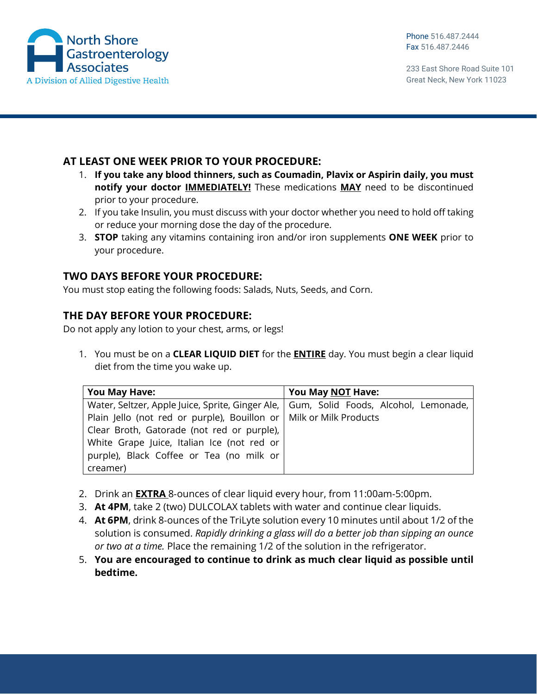

233 East Shore Road Suite 101 Great Neck, New York 11023

## **AT LEAST ONE WEEK PRIOR TO YOUR PROCEDURE:**

- 1. **If you take any blood thinners, such as Coumadin, Plavix or Aspirin daily, you must notify your doctor IMMEDIATELY!** These medications **MAY** need to be discontinued prior to your procedure.
- 2. If you take Insulin, you must discuss with your doctor whether you need to hold off taking or reduce your morning dose the day of the procedure.
- 3. **STOP** taking any vitamins containing iron and/or iron supplements **ONE WEEK** prior to your procedure.

## **TWO DAYS BEFORE YOUR PROCEDURE:**

You must stop eating the following foods: Salads, Nuts, Seeds, and Corn.

### **THE DAY BEFORE YOUR PROCEDURE:**

Do not apply any lotion to your chest, arms, or legs!

1. You must be on a **CLEAR LIQUID DIET** for the **ENTIRE** day. You must begin a clear liquid diet from the time you wake up.

| <b>You May Have:</b>                                                                    | You May NOT Have: |
|-----------------------------------------------------------------------------------------|-------------------|
| Water, Seltzer, Apple Juice, Sprite, Ginger Ale,   Gum, Solid Foods, Alcohol, Lemonade, |                   |
| Plain Jello (not red or purple), Bouillon or   Milk or Milk Products                    |                   |
| Clear Broth, Gatorade (not red or purple),                                              |                   |
| White Grape Juice, Italian Ice (not red or                                              |                   |
| purple), Black Coffee or Tea (no milk or                                                |                   |
| creamer)                                                                                |                   |

- 2. Drink an **EXTRA** 8‐ounces of clear liquid every hour, from 11:00am‐5:00pm.
- 3. **At 4PM**, take 2 (two) DULCOLAX tablets with water and continue clear liquids.
- 4. **At 6PM**, drink 8‐ounces of the TriLyte solution every 10 minutes until about 1/2 of the solution is consumed. *Rapidly drinking a glass will do a better job than sipping an ounce or two at a time.* Place the remaining 1/2 of the solution in the refrigerator.
- 5. **You are encouraged to continue to drink as much clear liquid as possible until bedtime.**